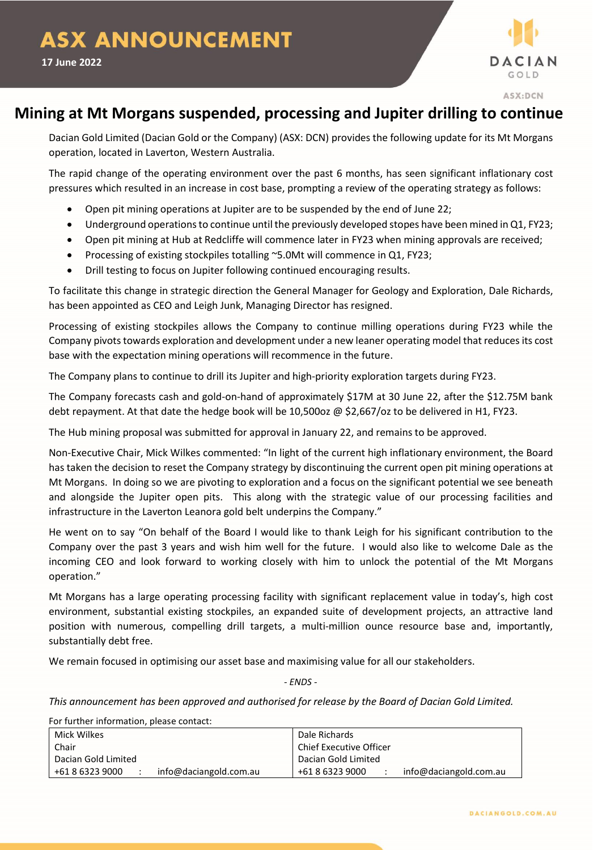

## **Mining at Mt Morgans suspended, processing and Jupiter drilling to continue**

Dacian Gold Limited (Dacian Gold or the Company) (ASX: DCN) provides the following update for its Mt Morgans operation, located in Laverton, Western Australia.

The rapid change of the operating environment over the past 6 months, has seen significant inflationary cost pressures which resulted in an increase in cost base, prompting a review of the operating strategy as follows:

- Open pit mining operations at Jupiter are to be suspended by the end of June 22;
- Underground operations to continue until the previously developed stopes have been mined in Q1, FY23;
- Open pit mining at Hub at Redcliffe will commence later in FY23 when mining approvals are received;
- Processing of existing stockpiles totalling ~5.0Mt will commence in Q1, FY23;
- Drill testing to focus on Jupiter following continued encouraging results.

To facilitate this change in strategic direction the General Manager for Geology and Exploration, Dale Richards, has been appointed as CEO and Leigh Junk, Managing Director has resigned.

Processing of existing stockpiles allows the Company to continue milling operations during FY23 while the Company pivots towards exploration and development under a new leaner operating model that reduces its cost base with the expectation mining operations will recommence in the future.

The Company plans to continue to drill its Jupiter and high-priority exploration targets during FY23.

The Company forecasts cash and gold-on-hand of approximately \$17M at 30 June 22, after the \$12.75M bank debt repayment. At that date the hedge book will be 10,500oz @ \$2,667/oz to be delivered in H1, FY23.

The Hub mining proposal was submitted for approval in January 22, and remains to be approved.

Non-Executive Chair, Mick Wilkes commented: "In light of the current high inflationary environment, the Board has taken the decision to reset the Company strategy by discontinuing the current open pit mining operations at Mt Morgans. In doing so we are pivoting to exploration and a focus on the significant potential we see beneath and alongside the Jupiter open pits. This along with the strategic value of our processing facilities and infrastructure in the Laverton Leanora gold belt underpins the Company."

He went on to say "On behalf of the Board I would like to thank Leigh for his significant contribution to the Company over the past 3 years and wish him well for the future. I would also like to welcome Dale as the incoming CEO and look forward to working closely with him to unlock the potential of the Mt Morgans operation."

Mt Morgans has a large operating processing facility with significant replacement value in today's, high cost environment, substantial existing stockpiles, an expanded suite of development projects, an attractive land position with numerous, compelling drill targets, a multi-million ounce resource base and, importantly, substantially debt free.

We remain focused in optimising our asset base and maximising value for all our stakeholders.

*- ENDS -*

*This announcement has been approved and authorised for release by the Board of Dacian Gold Limited.*

For further information, please contact:

| Mick Wilkes                               | Dale Richards                             |
|-------------------------------------------|-------------------------------------------|
| Chair                                     | Chief Executive Officer                   |
| Dacian Gold Limited                       | Dacian Gold Limited                       |
| info@daciangold.com.au<br>+61 8 6323 9000 | info@daciangold.com.au<br>+61 8 6323 9000 |